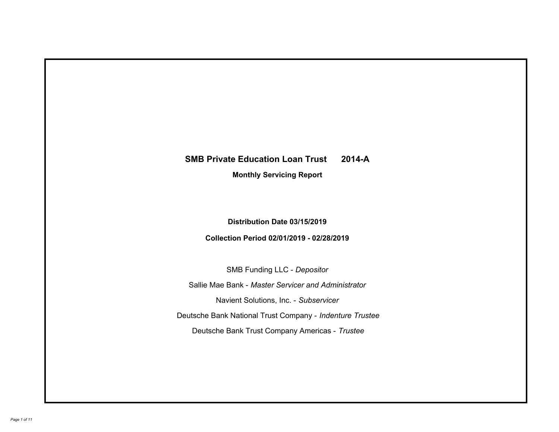# **SMB Private Education Loan Trust 2014-A Monthly Servicing Report**

# **Distribution Date 03/15/2019**

## **Collection Period 02/01/2019 - 02/28/2019**

SMB Funding LLC - *Depositor*

Sallie Mae Bank - *Master Servicer and Administrator*

Navient Solutions, Inc. - *Subservicer*

Deutsche Bank National Trust Company - *Indenture Trustee*

Deutsche Bank Trust Company Americas - *Trustee*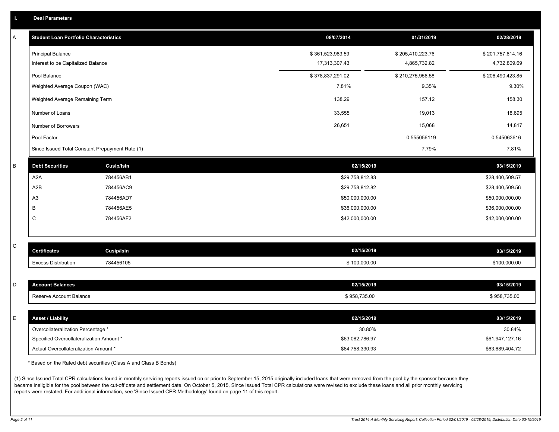|  | <b>Deal Parameters</b> |  |
|--|------------------------|--|
|  |                        |  |

| A | <b>Student Loan Portfolio Characteristics</b>   |                   | 08/07/2014       | 01/31/2019       | 02/28/2019       |
|---|-------------------------------------------------|-------------------|------------------|------------------|------------------|
|   | <b>Principal Balance</b>                        |                   | \$361,523,983.59 | \$205,410,223.76 | \$201,757,614.16 |
|   | Interest to be Capitalized Balance              |                   | 17,313,307.43    | 4,865,732.82     | 4,732,809.69     |
|   | Pool Balance                                    |                   | \$378,837,291.02 | \$210,275,956.58 | \$206,490,423.85 |
|   | Weighted Average Coupon (WAC)                   |                   | 7.81%            | 9.35%            | 9.30%            |
|   | Weighted Average Remaining Term                 |                   | 138.29           | 157.12           | 158.30           |
|   | Number of Loans                                 |                   | 33,555           | 19,013           | 18,695           |
|   | Number of Borrowers                             |                   | 26,651           | 15,068           | 14,817           |
|   | Pool Factor                                     |                   |                  | 0.555056119      | 0.545063616      |
|   | Since Issued Total Constant Prepayment Rate (1) |                   |                  | 7.79%            | 7.81%            |
| B | <b>Debt Securities</b>                          | <b>Cusip/Isin</b> | 02/15/2019       |                  | 03/15/2019       |
|   | A2A                                             | 784456AB1         | \$29,758,812.83  |                  | \$28,400,509.57  |
|   | A2B                                             | 784456AC9         | \$29,758,812.82  |                  | \$28,400,509.56  |
|   | A3                                              | 784456AD7         | \$50,000,000.00  |                  | \$50,000,000.00  |
|   | B                                               | 784456AE5         | \$36,000,000.00  |                  | \$36,000,000.00  |
|   | $\mathsf{C}$                                    | 784456AF2         | \$42,000,000.00  |                  | \$42,000,000.00  |
|   |                                                 |                   |                  |                  |                  |
| С | <b>Certificates</b>                             | <b>Cusip/Isin</b> | 02/15/2019       |                  | 03/15/2019       |
|   | <b>Excess Distribution</b>                      | 784456105         | \$100,000.00     |                  | \$100,000.00     |
|   |                                                 |                   |                  |                  |                  |
| D | <b>Account Balances</b>                         |                   | 02/15/2019       |                  | 03/15/2019       |
|   | Reserve Account Balance                         |                   | \$958,735.00     |                  | \$958,735.00     |
|   |                                                 |                   |                  |                  |                  |
| E | <b>Asset / Liability</b>                        |                   | 02/15/2019       |                  | 03/15/2019       |
|   | Overcollateralization Percentage *              |                   | 30.80%           |                  | 30.84%           |
|   | Specified Overcollateralization Amount *        |                   | \$63,082,786.97  |                  | \$61,947,127.16  |
|   | Actual Overcollateralization Amount *           |                   | \$64.758.330.93  |                  | \$63.689.404.72  |

\* Based on the Rated debt securities (Class A and Class B Bonds)

(1) Since Issued Total CPR calculations found in monthly servicing reports issued on or prior to September 15, 2015 originally included loans that were removed from the pool by the sponsor because they became ineligible for the pool between the cut-off date and settlement date. On October 5, 2015, Since Issued Total CPR calculations were revised to exclude these loans and all prior monthly servicing reports were restated. For additional information, see 'Since Issued CPR Methodology' found on page 11 of this report.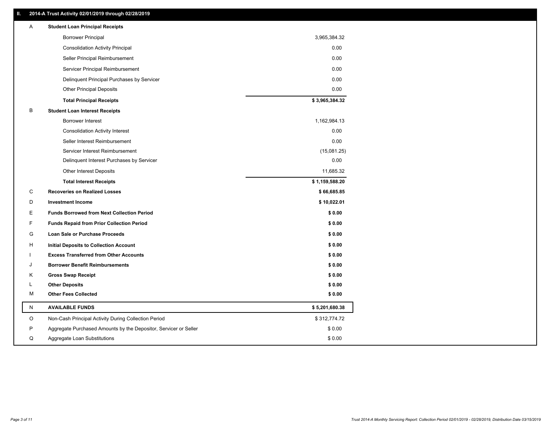### **II. 2014-A Trust Activity 02/01/2019 through 02/28/2019**

| Α       | <b>Student Loan Principal Receipts</b>                           |                |
|---------|------------------------------------------------------------------|----------------|
|         | <b>Borrower Principal</b>                                        | 3,965,384.32   |
|         | <b>Consolidation Activity Principal</b>                          | 0.00           |
|         | Seller Principal Reimbursement                                   | 0.00           |
|         | Servicer Principal Reimbursement                                 | 0.00           |
|         | Delinquent Principal Purchases by Servicer                       | 0.00           |
|         | <b>Other Principal Deposits</b>                                  | 0.00           |
|         | <b>Total Principal Receipts</b>                                  | \$3,965,384.32 |
| B       | <b>Student Loan Interest Receipts</b>                            |                |
|         | <b>Borrower Interest</b>                                         | 1,162,984.13   |
|         | <b>Consolidation Activity Interest</b>                           | 0.00           |
|         | Seller Interest Reimbursement                                    | 0.00           |
|         | Servicer Interest Reimbursement                                  | (15,081.25)    |
|         | Delinquent Interest Purchases by Servicer                        | 0.00           |
|         | Other Interest Deposits                                          | 11,685.32      |
|         | <b>Total Interest Receipts</b>                                   | \$1,159,588.20 |
| C       | <b>Recoveries on Realized Losses</b>                             | \$66,685.85    |
| D       | <b>Investment Income</b>                                         | \$10,022.01    |
| Ε       | <b>Funds Borrowed from Next Collection Period</b>                | \$0.00         |
| F       | <b>Funds Repaid from Prior Collection Period</b>                 | \$0.00         |
| G       | Loan Sale or Purchase Proceeds                                   | \$0.00         |
| н       | Initial Deposits to Collection Account                           | \$0.00         |
|         | <b>Excess Transferred from Other Accounts</b>                    | \$0.00         |
| J       | <b>Borrower Benefit Reimbursements</b>                           | \$0.00         |
| Κ       | <b>Gross Swap Receipt</b>                                        | \$0.00         |
| L       | <b>Other Deposits</b>                                            | \$0.00         |
| M       | <b>Other Fees Collected</b>                                      | \$0.00         |
| N       | <b>AVAILABLE FUNDS</b>                                           | \$5,201,680.38 |
| $\circ$ | Non-Cash Principal Activity During Collection Period             | \$312,774.72   |
| P       | Aggregate Purchased Amounts by the Depositor, Servicer or Seller | \$0.00         |
| Q       | Aggregate Loan Substitutions                                     | \$0.00         |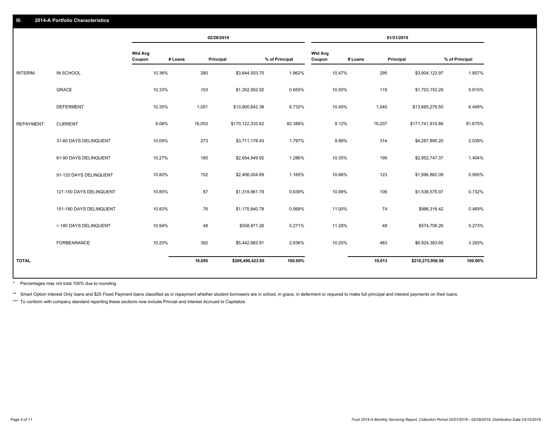|                   |                         |                          |         | 02/28/2019       |                |                          |         | 01/31/2019       |                |
|-------------------|-------------------------|--------------------------|---------|------------------|----------------|--------------------------|---------|------------------|----------------|
|                   |                         | <b>Wtd Avg</b><br>Coupon | # Loans | Principal        | % of Principal | <b>Wtd Avg</b><br>Coupon | # Loans | Principal        | % of Principal |
| INTERIM:          | IN SCHOOL               | 10.36%                   | 280     | \$3,844,503.75   | 1.862%         | 10.47%                   | 295     | \$3,904,123.97   | 1.857%         |
|                   | <b>GRACE</b>            | 10.33%                   | 103     | \$1,352,952.92   | 0.655%         | 10.50%                   | 119     | \$1,703,153.29   | 0.810%         |
|                   | <b>DEFERMENT</b>        | 10.35%                   | 1,051   | \$13,900,842.38  | 6.732%         | 10.45%                   | 1,045   | \$13,665,279.50  | 6.499%         |
| <b>REPAYMENT:</b> | <b>CURRENT</b>          | 9.08%                    | 16,053  | \$170,122,333.82 | 82.388%        | 9.12%                    | 16,207  | \$171,741,910.86 | 81.675%        |
|                   | 31-60 DAYS DELINQUENT   | 10.09%                   | 273     | \$3,711,178.43   | 1.797%         | 9.89%                    | 314     | \$4,287,895.20   | 2.039%         |
|                   | 61-90 DAYS DELINQUENT   | 10.27%                   | 180     | \$2,654,949.92   | 1.286%         | 10.35%                   | 199     | \$2,952,747.37   | 1.404%         |
|                   | 91-120 DAYS DELINQUENT  | 10.80%                   | 152     | \$2,406,004.89   | 1.165%         | 10.66%                   | 123     | \$1,996,862.09   | 0.950%         |
|                   | 121-150 DAYS DELINQUENT | 10.85%                   | 87      | \$1,319,961.79   | 0.639%         | 10.98%                   | 106     | \$1,538,575.97   | 0.732%         |
|                   | 151-180 DAYS DELINQUENT | 10.83%                   | 76      | \$1,175,840.78   | 0.569%         | 11.00%                   | 74      | \$986,316.42     | 0.469%         |
|                   | > 180 DAYS DELINQUENT   | 10.94%                   | 48      | \$558,971.26     | 0.271%         | 11.28%                   | 48      | \$574,708.26     | 0.273%         |
|                   | FORBEARANCE             | 10.20%                   | 392     | \$5,442,883.91   | 2.636%         | 10.25%                   | 483     | \$6,924,383.65   | 3.293%         |
| <b>TOTAL</b>      |                         |                          | 18,695  | \$206,490,423.85 | 100.00%        |                          | 19,013  | \$210,275,956.58 | 100.00%        |
|                   |                         |                          |         |                  |                |                          |         |                  |                |

Percentages may not total 100% due to rounding \*

\*\* Smart Option Interest Only loans and \$25 Fixed Payment loans classified as in repayment whether student borrowers are in school, in grace, in deferment or required to make full principal and interest payments on their l

\*\*\* To conform with company standard reporting these sections now include Princial and Interest Accrued to Capitalize.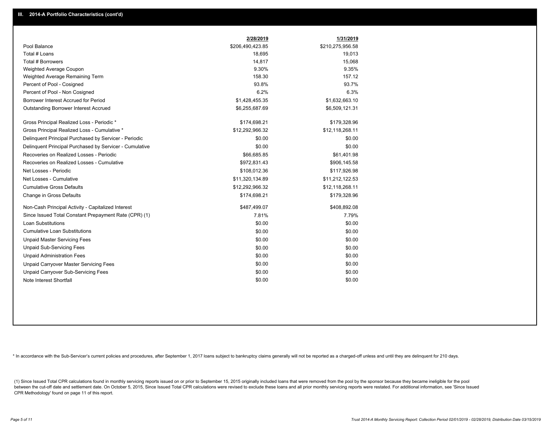|                                                         | 2/28/2019        | 1/31/2019        |
|---------------------------------------------------------|------------------|------------------|
| Pool Balance                                            | \$206,490,423.85 | \$210,275,956.58 |
| Total # Loans                                           | 18,695           | 19,013           |
| <b>Total # Borrowers</b>                                | 14,817           | 15,068           |
| Weighted Average Coupon                                 | 9.30%            | 9.35%            |
| Weighted Average Remaining Term                         | 158.30           | 157.12           |
| Percent of Pool - Cosigned                              | 93.8%            | 93.7%            |
| Percent of Pool - Non Cosigned                          | 6.2%             | 6.3%             |
| Borrower Interest Accrued for Period                    | \$1,428,455.35   | \$1,632,663.10   |
| <b>Outstanding Borrower Interest Accrued</b>            | \$6,255,687.69   | \$6,509,121.31   |
| Gross Principal Realized Loss - Periodic *              | \$174,698.21     | \$179,328.96     |
| Gross Principal Realized Loss - Cumulative *            | \$12,292,966.32  | \$12,118,268.11  |
| Delinquent Principal Purchased by Servicer - Periodic   | \$0.00           | \$0.00           |
| Delinquent Principal Purchased by Servicer - Cumulative | \$0.00           | \$0.00           |
| Recoveries on Realized Losses - Periodic                | \$66,685.85      | \$61,401.98      |
| Recoveries on Realized Losses - Cumulative              | \$972,831.43     | \$906,145.58     |
| Net Losses - Periodic                                   | \$108,012.36     | \$117,926.98     |
| Net Losses - Cumulative                                 | \$11,320,134.89  | \$11,212,122.53  |
| <b>Cumulative Gross Defaults</b>                        | \$12,292,966.32  | \$12,118,268.11  |
| Change in Gross Defaults                                | \$174,698.21     | \$179,328.96     |
| Non-Cash Principal Activity - Capitalized Interest      | \$487,499.07     | \$408,892.08     |
| Since Issued Total Constant Prepayment Rate (CPR) (1)   | 7.81%            | 7.79%            |
| <b>Loan Substitutions</b>                               | \$0.00           | \$0.00           |
| <b>Cumulative Loan Substitutions</b>                    | \$0.00           | \$0.00           |
| <b>Unpaid Master Servicing Fees</b>                     | \$0.00           | \$0.00           |
| <b>Unpaid Sub-Servicing Fees</b>                        | \$0.00           | \$0.00           |
| <b>Unpaid Administration Fees</b>                       | \$0.00           | \$0.00           |
| Unpaid Carryover Master Servicing Fees                  | \$0.00           | \$0.00           |
| Unpaid Carryover Sub-Servicing Fees                     | \$0.00           | \$0.00           |
| Note Interest Shortfall                                 | \$0.00           | \$0.00           |

\* In accordance with the Sub-Servicer's current policies and procedures, after September 1, 2017 loans subject to bankruptcy claims generally will not be reported as a charged-off unless and until they are delinquent for 2

(1) Since Issued Total CPR calculations found in monthly servicing reports issued on or prior to September 15, 2015 originally included loans that were removed from the pool by the sponsor because they became ineligible fo between the cut-off date and settlement date. On October 5, 2015, Since Issued Total CPR calculations were revised to exclude these loans and all prior monthly servicing reports were restated. For additional information, s CPR Methodology' found on page 11 of this report.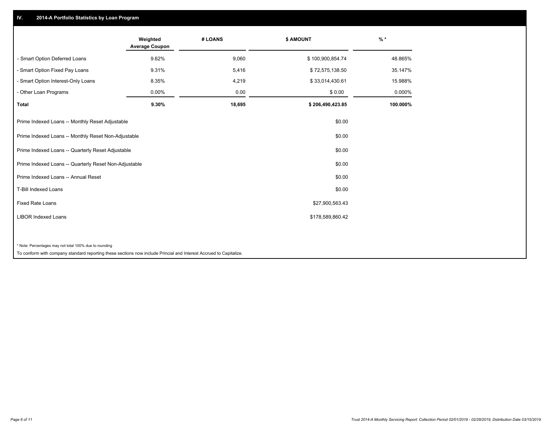## **IV. 2014-A Portfolio Statistics by Loan Program**

|                                                        | Weighted<br><b>Average Coupon</b> | # LOANS | \$ AMOUNT        | $%$ *    |
|--------------------------------------------------------|-----------------------------------|---------|------------------|----------|
| - Smart Option Deferred Loans                          | 9.62%                             | 9,060   | \$100,900,854.74 | 48.865%  |
| - Smart Option Fixed Pay Loans                         | 9.31%                             | 5,416   | \$72,575,138.50  | 35.147%  |
| - Smart Option Interest-Only Loans                     | 8.35%                             | 4,219   | \$33,014,430.61  | 15.988%  |
| Other Loan Programs                                    | 0.00%                             | 0.00    | \$0.00           | 0.000%   |
| <b>Total</b>                                           | 9.30%                             | 18,695  | \$206,490,423.85 | 100.000% |
| Prime Indexed Loans -- Monthly Reset Adjustable        |                                   |         | \$0.00           |          |
| Prime Indexed Loans -- Monthly Reset Non-Adjustable    |                                   |         | \$0.00           |          |
| Prime Indexed Loans -- Quarterly Reset Adjustable      |                                   |         | \$0.00           |          |
| Prime Indexed Loans -- Quarterly Reset Non-Adjustable  |                                   |         | \$0.00           |          |
| Prime Indexed Loans -- Annual Reset                    |                                   |         | \$0.00           |          |
| <b>T-Bill Indexed Loans</b>                            |                                   |         | \$0.00           |          |
| <b>Fixed Rate Loans</b>                                |                                   |         | \$27,900,563.43  |          |
| <b>LIBOR Indexed Loans</b>                             |                                   |         | \$178,589,860.42 |          |
|                                                        |                                   |         |                  |          |
| * Note: Percentages may not total 100% due to rounding |                                   |         |                  |          |

To conform with company standard reporting these sections now include Princial and Interest Accrued to Capitalize.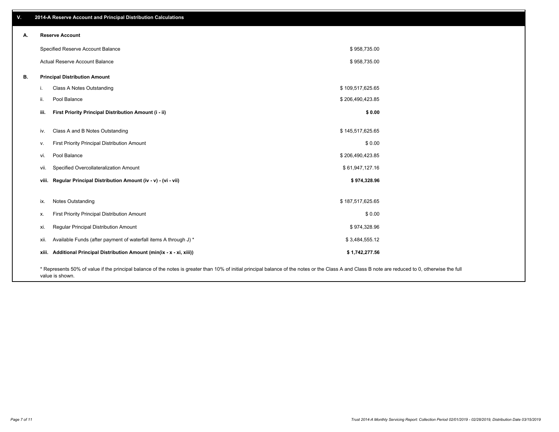| v. | 2014-A Reserve Account and Principal Distribution Calculations                                                                                                                                     |                  |  |
|----|----------------------------------------------------------------------------------------------------------------------------------------------------------------------------------------------------|------------------|--|
| А. | <b>Reserve Account</b>                                                                                                                                                                             |                  |  |
|    | Specified Reserve Account Balance                                                                                                                                                                  | \$958,735.00     |  |
|    | Actual Reserve Account Balance                                                                                                                                                                     | \$958,735.00     |  |
| В. | <b>Principal Distribution Amount</b>                                                                                                                                                               |                  |  |
|    | Class A Notes Outstanding<br>i.                                                                                                                                                                    | \$109,517,625.65 |  |
|    | Pool Balance<br>ii.                                                                                                                                                                                | \$206,490,423.85 |  |
|    | First Priority Principal Distribution Amount (i - ii)<br>iii.                                                                                                                                      | \$0.00           |  |
|    | Class A and B Notes Outstanding<br>iv.                                                                                                                                                             | \$145,517,625.65 |  |
|    | First Priority Principal Distribution Amount<br>v.                                                                                                                                                 | \$0.00           |  |
|    | Pool Balance<br>vi.                                                                                                                                                                                | \$206,490,423.85 |  |
|    | Specified Overcollateralization Amount<br>vii.                                                                                                                                                     | \$61,947,127.16  |  |
|    | viii. Regular Principal Distribution Amount (iv - v) - (vi - vii)                                                                                                                                  | \$974,328.96     |  |
|    |                                                                                                                                                                                                    |                  |  |
|    | Notes Outstanding<br>ix.                                                                                                                                                                           | \$187,517,625.65 |  |
|    | First Priority Principal Distribution Amount<br>х.                                                                                                                                                 | \$0.00           |  |
|    | Regular Principal Distribution Amount<br>xi.                                                                                                                                                       | \$974,328.96     |  |
|    | Available Funds (after payment of waterfall items A through J) *<br>xii.                                                                                                                           | \$3,484,555.12   |  |
|    | xiii. Additional Principal Distribution Amount (min(ix - x - xi, xiii))                                                                                                                            | \$1,742,277.56   |  |
|    | * Represents 50% of value if the principal balance of the notes is greater than 10% of initial principal balance of the notes or the Class A and Class B note are reduced to 0, otherwise the full |                  |  |

value is shown.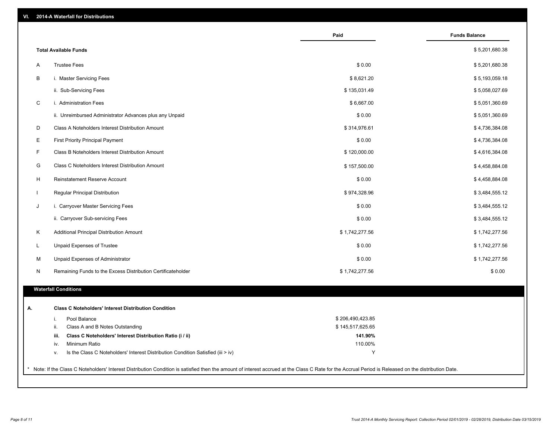| VI. |  | 2014-A Waterfall for Distributions |  |  |  |
|-----|--|------------------------------------|--|--|--|
|-----|--|------------------------------------|--|--|--|

|                                                |                                                                                  | Paid             | <b>Funds Balance</b> |
|------------------------------------------------|----------------------------------------------------------------------------------|------------------|----------------------|
| <b>Total Available Funds</b>                   |                                                                                  |                  | \$5,201,680.38       |
| <b>Trustee Fees</b><br>A                       |                                                                                  | \$0.00           | \$5,201,680.38       |
| B<br>i. Master Servicing Fees                  |                                                                                  | \$8,621.20       | \$5,193,059.18       |
| ii. Sub-Servicing Fees                         |                                                                                  | \$135,031.49     | \$5,058,027.69       |
| $\mathsf C$<br>i. Administration Fees          |                                                                                  | \$6,667.00       | \$5,051,360.69       |
|                                                | ii. Unreimbursed Administrator Advances plus any Unpaid                          | \$0.00           | \$5,051,360.69       |
| D                                              | Class A Noteholders Interest Distribution Amount                                 | \$314,976.61     | \$4,736,384.08       |
| E<br><b>First Priority Principal Payment</b>   |                                                                                  | \$0.00           | \$4,736,384.08       |
| F                                              | Class B Noteholders Interest Distribution Amount                                 | \$120,000.00     | \$4,616,384.08       |
| G                                              | Class C Noteholders Interest Distribution Amount                                 | \$157,500.00     | \$4,458,884.08       |
| H<br><b>Reinstatement Reserve Account</b>      |                                                                                  | \$0.00           | \$4,458,884.08       |
| Regular Principal Distribution<br>$\mathbf{I}$ |                                                                                  | \$974,328.96     | \$3,484,555.12       |
| J<br>i. Carryover Master Servicing Fees        |                                                                                  | \$0.00           | \$3,484,555.12       |
| ii. Carryover Sub-servicing Fees               |                                                                                  | \$0.00           | \$3,484,555.12       |
| Κ                                              | Additional Principal Distribution Amount                                         | \$1,742,277.56   | \$1,742,277.56       |
| L<br>Unpaid Expenses of Trustee                |                                                                                  | \$0.00           | \$1,742,277.56       |
| Unpaid Expenses of Administrator<br>М          |                                                                                  | \$0.00           | \$1,742,277.56       |
| N                                              | Remaining Funds to the Excess Distribution Certificateholder                     | \$1,742,277.56   | \$0.00               |
|                                                |                                                                                  |                  |                      |
| <b>Waterfall Conditions</b>                    |                                                                                  |                  |                      |
|                                                | <b>Class C Noteholders' Interest Distribution Condition</b>                      |                  |                      |
| Pool Balance<br>i.                             |                                                                                  | \$206,490,423.85 |                      |
| ii.                                            | Class A and B Notes Outstanding                                                  | \$145,517,625.65 |                      |
| iii.                                           | Class C Noteholders' Interest Distribution Ratio (i / ii)                        | 141.90%          |                      |
| Minimum Ratio<br>iv.                           |                                                                                  | 110.00%          |                      |
| ν.                                             | Is the Class C Noteholders' Interest Distribution Condition Satisfied (iii > iv) | Y                |                      |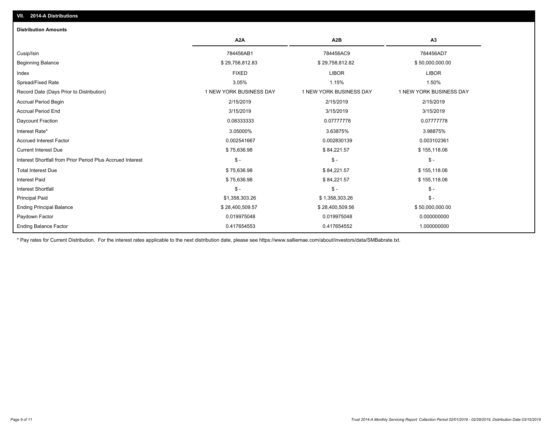| <b>Distribution Amounts</b>                                |                         |                         |                         |
|------------------------------------------------------------|-------------------------|-------------------------|-------------------------|
|                                                            | A <sub>2</sub> A        | A <sub>2</sub> B        | A <sub>3</sub>          |
| Cusip/Isin                                                 | 784456AB1               | 784456AC9               | 784456AD7               |
| <b>Beginning Balance</b>                                   | \$29,758,812.83         | \$29,758,812.82         | \$50,000,000.00         |
| Index                                                      | <b>FIXED</b>            | <b>LIBOR</b>            | <b>LIBOR</b>            |
| Spread/Fixed Rate                                          | 3.05%                   | 1.15%                   | 1.50%                   |
| Record Date (Days Prior to Distribution)                   | 1 NEW YORK BUSINESS DAY | 1 NEW YORK BUSINESS DAY | 1 NEW YORK BUSINESS DAY |
| <b>Accrual Period Begin</b>                                | 2/15/2019               | 2/15/2019               | 2/15/2019               |
| <b>Accrual Period End</b>                                  | 3/15/2019               | 3/15/2019               | 3/15/2019               |
| Daycount Fraction                                          | 0.08333333              | 0.07777778              | 0.07777778              |
| Interest Rate*                                             | 3.05000%                | 3.63875%                | 3.98875%                |
| <b>Accrued Interest Factor</b>                             | 0.002541667             | 0.002830139             | 0.003102361             |
| <b>Current Interest Due</b>                                | \$75,636.98             | \$84,221.57             | \$155,118.06            |
| Interest Shortfall from Prior Period Plus Accrued Interest | $$ -$                   | $\mathsf{\$}$ -         | $$ -$                   |
| <b>Total Interest Due</b>                                  | \$75,636.98             | \$84,221.57             | \$155,118.06            |
| <b>Interest Paid</b>                                       | \$75,636.98             | \$84,221.57             | \$155,118.06            |
| <b>Interest Shortfall</b>                                  | $$ -$                   | $\mathsf{\$}$ -         | $\frac{1}{2}$ -         |
| <b>Principal Paid</b>                                      | \$1,358,303.26          | \$1,358,303.26          | $\mathsf{\$}$ -         |
| <b>Ending Principal Balance</b>                            | \$28,400,509.57         | \$28,400,509.56         | \$50,000,000.00         |
| Paydown Factor                                             | 0.019975048             | 0.019975048             | 0.000000000             |
| <b>Ending Balance Factor</b>                               | 0.417654553             | 0.417654552             | 1.000000000             |

\* Pay rates for Current Distribution. For the interest rates applicable to the next distribution date, please see https://www.salliemae.com/about/investors/data/SMBabrate.txt.

**VII. 2014-A Distributions**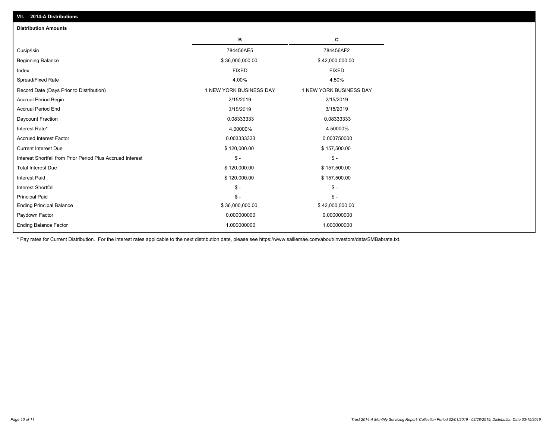| <b>Distribution Amounts</b>                                |                         |                         |
|------------------------------------------------------------|-------------------------|-------------------------|
|                                                            | в                       | C                       |
| Cusip/Isin                                                 | 784456AE5               | 784456AF2               |
| <b>Beginning Balance</b>                                   | \$36,000,000.00         | \$42,000,000.00         |
| Index                                                      | <b>FIXED</b>            | <b>FIXED</b>            |
| Spread/Fixed Rate                                          | 4.00%                   | 4.50%                   |
| Record Date (Days Prior to Distribution)                   | 1 NEW YORK BUSINESS DAY | 1 NEW YORK BUSINESS DAY |
| <b>Accrual Period Begin</b>                                | 2/15/2019               | 2/15/2019               |
| <b>Accrual Period End</b>                                  | 3/15/2019               | 3/15/2019               |
| Daycount Fraction                                          | 0.08333333              | 0.08333333              |
| Interest Rate*                                             | 4.00000%                | 4.50000%                |
| <b>Accrued Interest Factor</b>                             | 0.003333333             | 0.003750000             |
| <b>Current Interest Due</b>                                | \$120,000.00            | \$157,500.00            |
| Interest Shortfall from Prior Period Plus Accrued Interest | $\mathsf{\$}$ -         | $\frac{1}{2}$           |
| <b>Total Interest Due</b>                                  | \$120,000.00            | \$157,500.00            |
| Interest Paid                                              | \$120,000.00            | \$157,500.00            |
| <b>Interest Shortfall</b>                                  | $\mathsf{\$}$ -         | $\mathsf{\$}$ -         |
| <b>Principal Paid</b>                                      | $\mathsf{\$}$ -         | $\mathsf{\$}$ -         |
| <b>Ending Principal Balance</b>                            | \$36,000,000.00         | \$42,000,000.00         |
| Paydown Factor                                             | 0.000000000             | 0.000000000             |
| <b>Ending Balance Factor</b>                               | 1.000000000             | 1.000000000             |

\* Pay rates for Current Distribution. For the interest rates applicable to the next distribution date, please see https://www.salliemae.com/about/investors/data/SMBabrate.txt.

**VII. 2014-A Distributions**